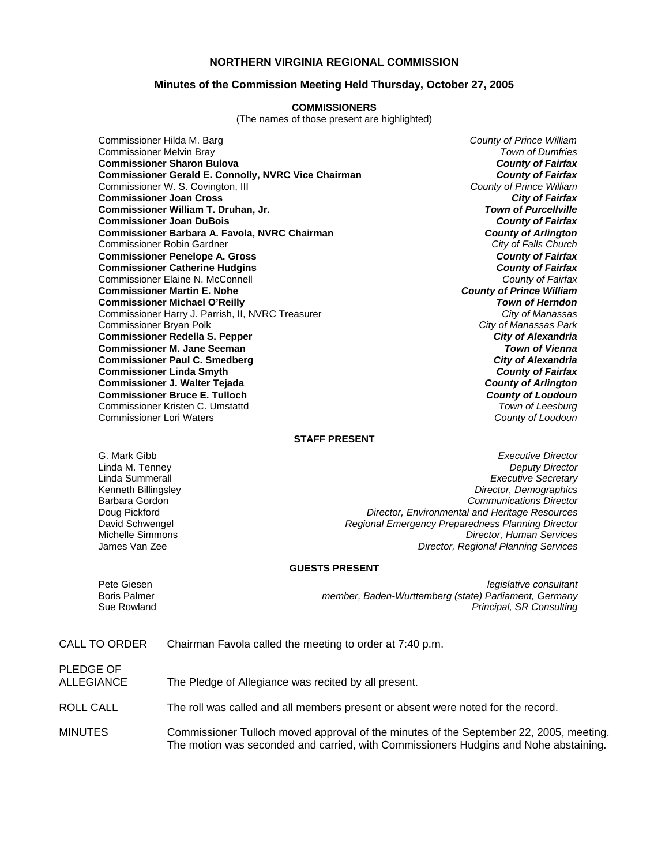### **NORTHERN VIRGINIA REGIONAL COMMISSION**

#### **Minutes of the Commission Meeting Held Thursday, October 27, 2005**

#### **COMMISSIONERS**

(The names of those present are highlighted)

Commissioner Hilda M. Barg *County of Prince William* Commissioner Melvin Bray *Town of Dumfries* **Commissioner Sharon Bulova** *County of Fairfax* **Commissioner Gerald E. Connolly, NVRC Vice Chairman** *County of Fairfax**County of Fairfax***<br>Commissioner W. S. Covington, III <b>County of Prince William** Commissioner W. S. Covington, III *County of Prince William* **Commissioner Joan Cross** *City of Fairfax* **Commissioner William T. Druhan, Jr. Commissioner Joan DuBois** *County of Fairfax* **Commissioner Barbara A. Favola, NVRC Chairman** *County of Arlington* Commissioner Robin Gardner *City of Falls Church* **Commissioner Penelope A. Gross** *County of Fairfax* **Commissioner Catherine Hudgins** *County of Fairfax* Commissioner Elaine N. McConnell *County of Fairfax* **Commissioner Martin E. Nohe Commissioner Michael O'Reilly** *Town of Herndon* Commissioner Harry J. Parrish, II, NVRC Treasurer *City of Manassas* Commissioner Bryan Polk *City of Manassas Park* **Commissioner Redella S. Pepper** *City of Alexandria* **Commissioner M. Jane Seeman Commissioner Paul C. Smedberg** *City of Alexandria* **Commissioner Linda Smyth Commissioner J. Walter Tejada** *County of Arlington* **Commissioner Bruce E. Tulloch** *County of Loudoun* Commissioner Kristen C. Umstattd *Town of Leesburg* Commissioner Lori Waters *County of Loudoun*

#### **STAFF PRESENT**

G. Mark Gibb *Executive Director* Linda M. Tenney *Deputy Director* Linda Summerall *Executive Secretary* Kenneth Billingsley *Director, Demographics* Barbara Gordon *Communications Director* Doug Pickford *Director, Environmental and Heritage Resources* Regional Emergency Preparedness Planning Director Michelle Simmons *Director, Human Services* **Director, Regional Planning Services** 

#### **GUESTS PRESENT**

Pete Giesen *legislative consultant* member, Baden-Wurttemberg (state) Parliament, Germany Sue Rowland *Principal, SR Consulting*

|  | CALL TO ORDER | Chairman Favola called the meeting to order at 7:40 p.m. |
|--|---------------|----------------------------------------------------------|
|--|---------------|----------------------------------------------------------|

PLEDGE OF ALLEGIANCE The Pledge of Allegiance was recited by all present.

ROLL CALL The roll was called and all members present or absent were noted for the record.

MINUTES Commissioner Tulloch moved approval of the minutes of the September 22, 2005, meeting. The motion was seconded and carried, with Commissioners Hudgins and Nohe abstaining.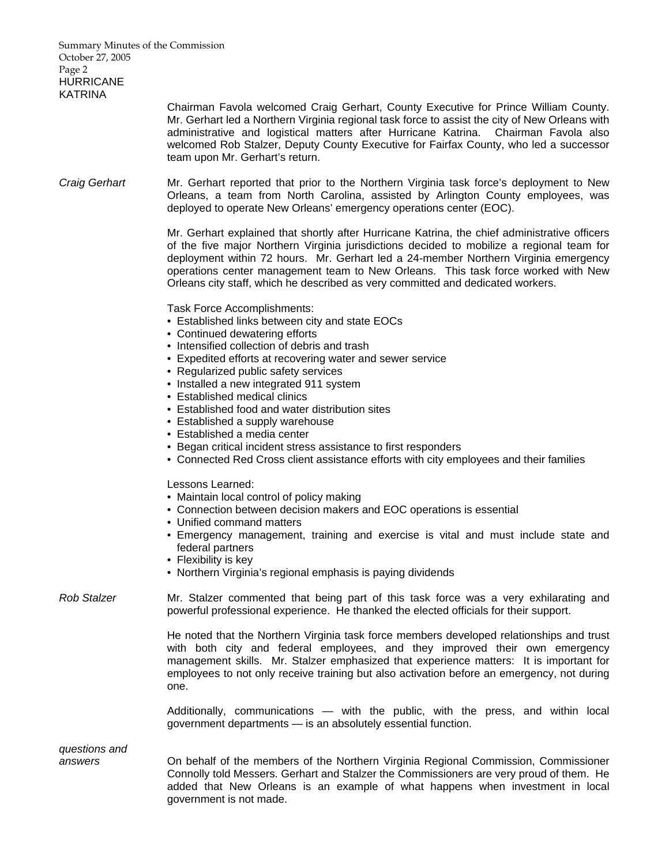| Summary Minutes of the Commission<br>October 27, 2005<br>Page 2<br><b>HURRICANE</b><br><b>KATRINA</b> |                                                                                                                                                                                                                                                                                                                                                                                                                                                                                                                                                                                                                                       |
|-------------------------------------------------------------------------------------------------------|---------------------------------------------------------------------------------------------------------------------------------------------------------------------------------------------------------------------------------------------------------------------------------------------------------------------------------------------------------------------------------------------------------------------------------------------------------------------------------------------------------------------------------------------------------------------------------------------------------------------------------------|
|                                                                                                       | Chairman Favola welcomed Craig Gerhart, County Executive for Prince William County.<br>Mr. Gerhart led a Northern Virginia regional task force to assist the city of New Orleans with<br>administrative and logistical matters after Hurricane Katrina. Chairman Favola also<br>welcomed Rob Stalzer, Deputy County Executive for Fairfax County, who led a successor<br>team upon Mr. Gerhart's return.                                                                                                                                                                                                                              |
| <b>Craig Gerhart</b>                                                                                  | Mr. Gerhart reported that prior to the Northern Virginia task force's deployment to New<br>Orleans, a team from North Carolina, assisted by Arlington County employees, was<br>deployed to operate New Orleans' emergency operations center (EOC).                                                                                                                                                                                                                                                                                                                                                                                    |
|                                                                                                       | Mr. Gerhart explained that shortly after Hurricane Katrina, the chief administrative officers<br>of the five major Northern Virginia jurisdictions decided to mobilize a regional team for<br>deployment within 72 hours. Mr. Gerhart led a 24-member Northern Virginia emergency<br>operations center management team to New Orleans. This task force worked with New<br>Orleans city staff, which he described as very committed and dedicated workers.                                                                                                                                                                             |
|                                                                                                       | Task Force Accomplishments:<br>• Established links between city and state EOCs<br>• Continued dewatering efforts<br>• Intensified collection of debris and trash<br>• Expedited efforts at recovering water and sewer service<br>• Regularized public safety services<br>• Installed a new integrated 911 system<br>• Established medical clinics<br>• Established food and water distribution sites<br>• Established a supply warehouse<br>• Established a media center<br>• Began critical incident stress assistance to first responders<br>• Connected Red Cross client assistance efforts with city employees and their families |
|                                                                                                       | Lessons Learned:<br>• Maintain local control of policy making<br>• Connection between decision makers and EOC operations is essential<br>• Unified command matters<br>• Emergency management, training and exercise is vital and must include state and<br>federal partners<br>• Flexibility is key<br>• Northern Virginia's regional emphasis is paying dividends                                                                                                                                                                                                                                                                    |
| <b>Rob Stalzer</b>                                                                                    | Mr. Stalzer commented that being part of this task force was a very exhilarating and<br>powerful professional experience. He thanked the elected officials for their support.                                                                                                                                                                                                                                                                                                                                                                                                                                                         |

 He noted that the Northern Virginia task force members developed relationships and trust with both city and federal employees, and they improved their own emergency management skills. Mr. Stalzer emphasized that experience matters: It is important for employees to not only receive training but also activation before an emergency, not during one.

 Additionally, communications — with the public, with the press, and within local government departments — is an absolutely essential function.

*questions and* 

*answers* On behalf of the members of the Northern Virginia Regional Commission, Commissioner Connolly told Messers. Gerhart and Stalzer the Commissioners are very proud of them. He added that New Orleans is an example of what happens when investment in local government is not made.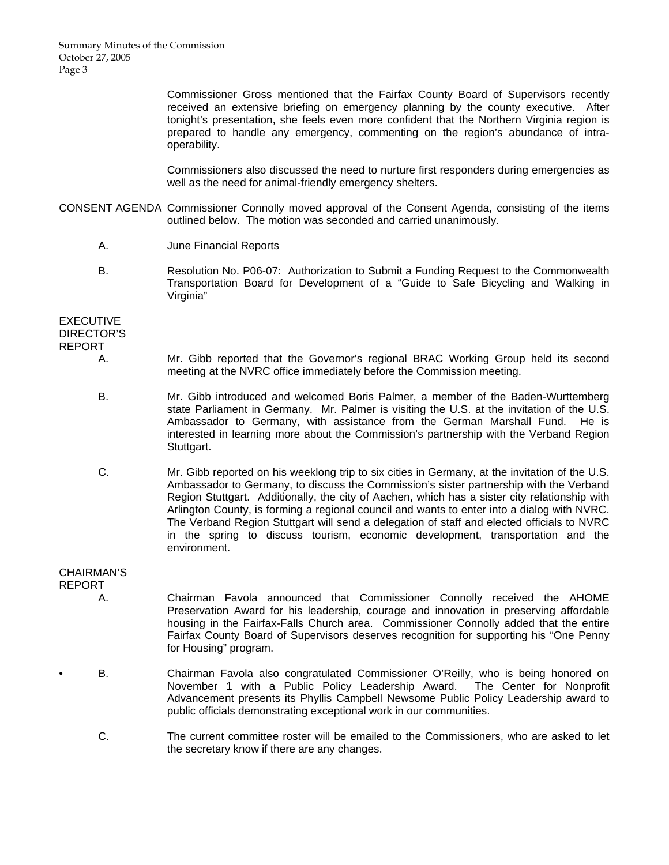Summary Minutes of the Commission October 27, 2005 Page 3

> Commissioner Gross mentioned that the Fairfax County Board of Supervisors recently received an extensive briefing on emergency planning by the county executive. After tonight's presentation, she feels even more confident that the Northern Virginia region is prepared to handle any emergency, commenting on the region's abundance of intraoperability.

> Commissioners also discussed the need to nurture first responders during emergencies as well as the need for animal-friendly emergency shelters.

- CONSENT AGENDA Commissioner Connolly moved approval of the Consent Agenda, consisting of the items outlined below. The motion was seconded and carried unanimously.
	- A. June Financial Reports
	- B. Resolution No. P06-07: Authorization to Submit a Funding Request to the Commonwealth Transportation Board for Development of a "Guide to Safe Bicycling and Walking in Virginia"

**EXECUTIVE** DIRECTOR'S REPORT

- A. Mr. Gibb reported that the Governor's regional BRAC Working Group held its second meeting at the NVRC office immediately before the Commission meeting.
- B. Mr. Gibb introduced and welcomed Boris Palmer, a member of the Baden-Wurttemberg state Parliament in Germany. Mr. Palmer is visiting the U.S. at the invitation of the U.S. Ambassador to Germany, with assistance from the German Marshall Fund. He is interested in learning more about the Commission's partnership with the Verband Region Stuttgart.
- C. Mr. Gibb reported on his weeklong trip to six cities in Germany, at the invitation of the U.S. Ambassador to Germany, to discuss the Commission's sister partnership with the Verband Region Stuttgart. Additionally, the city of Aachen, which has a sister city relationship with Arlington County, is forming a regional council and wants to enter into a dialog with NVRC. The Verband Region Stuttgart will send a delegation of staff and elected officials to NVRC in the spring to discuss tourism, economic development, transportation and the environment.

## CHAIRMAN'S

REPORT

- A. Chairman Favola announced that Commissioner Connolly received the AHOME Preservation Award for his leadership, courage and innovation in preserving affordable housing in the Fairfax-Falls Church area. Commissioner Connolly added that the entire Fairfax County Board of Supervisors deserves recognition for supporting his "One Penny for Housing" program.
- B. Chairman Favola also congratulated Commissioner O'Reilly, who is being honored on November 1 with a Public Policy Leadership Award. The Center for Nonprofit Advancement presents its Phyllis Campbell Newsome Public Policy Leadership award to public officials demonstrating exceptional work in our communities.
	- C. The current committee roster will be emailed to the Commissioners, who are asked to let the secretary know if there are any changes.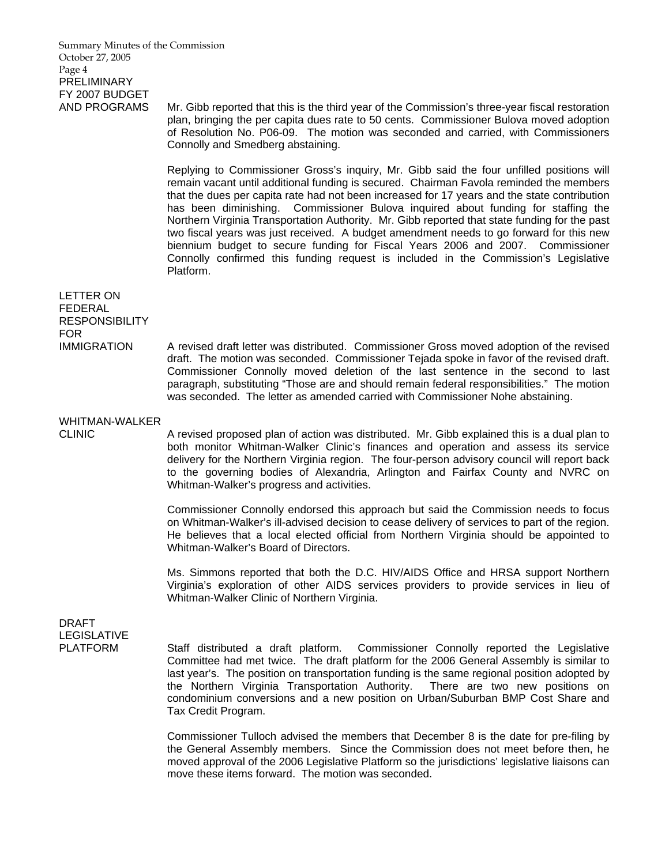Summary Minutes of the Commission October 27, 2005 Page 4 **PRELIMINARY** FY 2007 BUDGET

AND PROGRAMS Mr. Gibb reported that this is the third year of the Commission's three-year fiscal restoration plan, bringing the per capita dues rate to 50 cents. Commissioner Bulova moved adoption of Resolution No. P06-09. The motion was seconded and carried, with Commissioners Connolly and Smedberg abstaining.

> Replying to Commissioner Gross's inquiry, Mr. Gibb said the four unfilled positions will remain vacant until additional funding is secured. Chairman Favola reminded the members that the dues per capita rate had not been increased for 17 years and the state contribution has been diminishing. Commissioner Bulova inquired about funding for staffing the Northern Virginia Transportation Authority. Mr. Gibb reported that state funding for the past two fiscal years was just received. A budget amendment needs to go forward for this new biennium budget to secure funding for Fiscal Years 2006 and 2007. Commissioner Connolly confirmed this funding request is included in the Commission's Legislative Platform.

LETTER ON FEDERAL **RESPONSIBILITY** FOR<br>IMMIGRATION

A revised draft letter was distributed. Commissioner Gross moved adoption of the revised draft. The motion was seconded. Commissioner Tejada spoke in favor of the revised draft. Commissioner Connolly moved deletion of the last sentence in the second to last paragraph, substituting "Those are and should remain federal responsibilities." The motion was seconded. The letter as amended carried with Commissioner Nohe abstaining.

# WHITMAN-WALKER

CLINIC A revised proposed plan of action was distributed. Mr. Gibb explained this is a dual plan to both monitor Whitman-Walker Clinic's finances and operation and assess its service delivery for the Northern Virginia region. The four-person advisory council will report back to the governing bodies of Alexandria, Arlington and Fairfax County and NVRC on Whitman-Walker's progress and activities.

> Commissioner Connolly endorsed this approach but said the Commission needs to focus on Whitman-Walker's ill-advised decision to cease delivery of services to part of the region. He believes that a local elected official from Northern Virginia should be appointed to Whitman-Walker's Board of Directors.

> Ms. Simmons reported that both the D.C. HIV/AIDS Office and HRSA support Northern Virginia's exploration of other AIDS services providers to provide services in lieu of Whitman-Walker Clinic of Northern Virginia.

DRAFT LEGISLATIVE

PLATFORM Staff distributed a draft platform. Commissioner Connolly reported the Legislative Committee had met twice. The draft platform for the 2006 General Assembly is similar to last year's. The position on transportation funding is the same regional position adopted by the Northern Virginia Transportation Authority. There are two new positions on condominium conversions and a new position on Urban/Suburban BMP Cost Share and Tax Credit Program.

> Commissioner Tulloch advised the members that December 8 is the date for pre-filing by the General Assembly members. Since the Commission does not meet before then, he moved approval of the 2006 Legislative Platform so the jurisdictions' legislative liaisons can move these items forward. The motion was seconded.